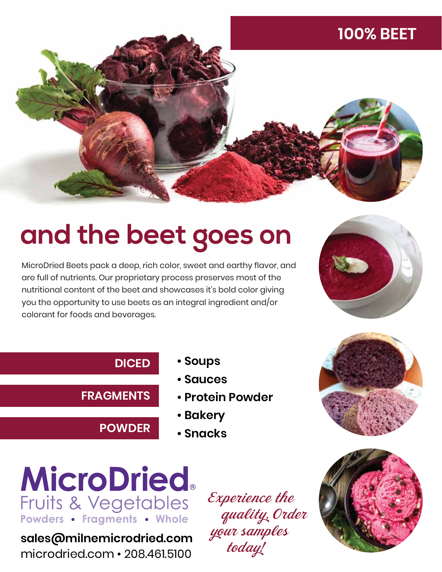### **100% BEET**



## **and the beet goes on**

MicroDried Beets pack a deep, rich color, sweet and earthy flavor, and are full of nutrients. Our proprietary process preserves most of the nutritional content of the beet and showcases it's bold color giving you the opportunity to use beets as an integral ingredient and/or colorant for foods and beverages.



#### **DICED**

**FRAGMENTS**

**POWDER**

- **Soups**
- **Sauces**
- **Protein Powder**
- **Bakery**
- **Snacks**





**sales@milnemicrodried.com** microdried.com • 208.461.5100

 Experience the quality. Order your samples today!